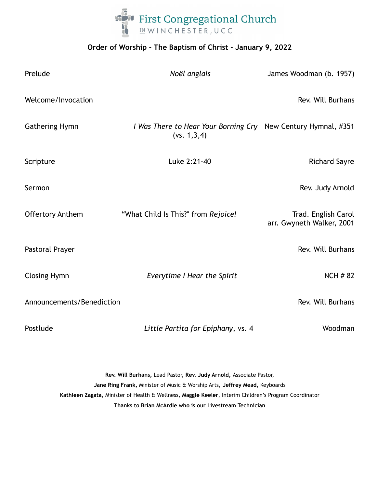

## **Order of Worship - The Baptism of Christ - January 9, 2022**

| Prelude                   | Noël anglais                                                                   | James Woodman (b. 1957)                          |
|---------------------------|--------------------------------------------------------------------------------|--------------------------------------------------|
| Welcome/Invocation        |                                                                                | Rev. Will Burhans                                |
| <b>Gathering Hymn</b>     | I Was There to Hear Your Borning Cry New Century Hymnal, #351<br>(vs. 1, 3, 4) |                                                  |
| Scripture                 | Luke 2:21-40                                                                   | <b>Richard Sayre</b>                             |
| Sermon                    |                                                                                | Rev. Judy Arnold                                 |
| <b>Offertory Anthem</b>   | "What Child Is This?" from Rejoice!                                            | Trad. English Carol<br>arr. Gwyneth Walker, 2001 |
| Pastoral Prayer           |                                                                                | Rev. Will Burhans                                |
| <b>Closing Hymn</b>       | Everytime I Hear the Spirit                                                    | <b>NCH # 82</b>                                  |
| Announcements/Benediction |                                                                                | Rev. Will Burhans                                |
| Postlude                  | Little Partita for Epiphany, vs. 4                                             | Woodman                                          |

**Rev. Will Burhans,** Lead Pastor, **Rev. Judy Arnold,** Associate Pastor, **Jane Ring Frank,** Minister of Music & Worship Arts, **Jeffrey Mead,** Keyboards **Kathleen Zagata**, Minister of Health & Wellness, **Maggie Keeler**, Interim Children's Program Coordinator **Thanks to Brian McArdle who is our Livestream Technician**